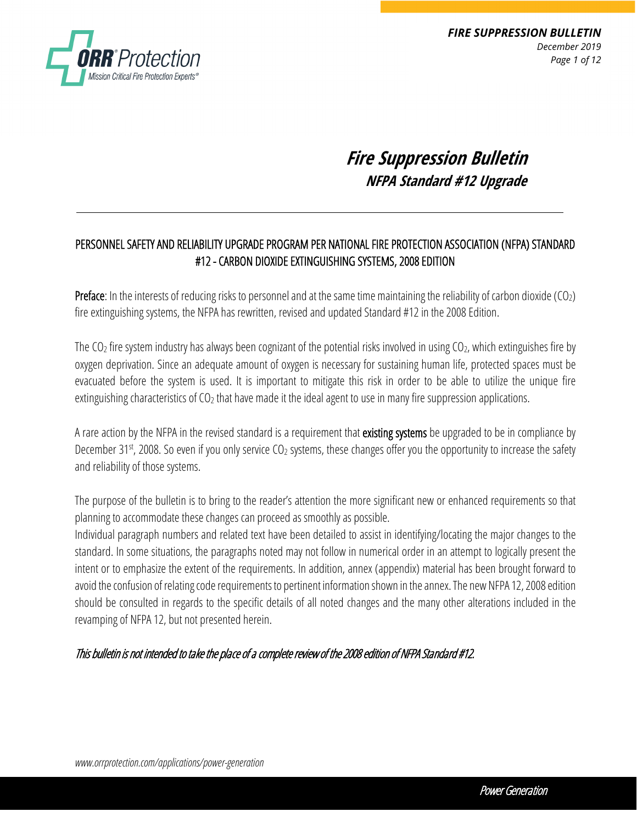

*FIRE SUPPRESSION BULLETIN December 2019 Page 1 of 12*

# **Fire Suppression Bulletin NFPA Standard #12 Upgrade**

### PERSONNEL SAFETY AND RELIABILITY UPGRADE PROGRAM PER NATIONAL FIRE PROTECTION ASSOCIATION (NFPA) STANDARD #12 - CARBON DIOXIDE EXTINGUISHING SYSTEMS, 2008 EDITION

**Preface:** In the interests of reducing risks to personnel and at the same time maintaining the reliability of carbon dioxide (CO<sub>2</sub>) fire extinguishing systems, the NFPA has rewritten, revised and updated Standard #12 in the 2008 Edition.

The  $CO<sub>2</sub>$  fire system industry has always been cognizant of the potential risks involved in using  $CO<sub>2</sub>$ , which extinguishes fire by oxygen deprivation. Since an adequate amount of oxygen is necessary for sustaining human life, protected spaces must be evacuated before the system is used. It is important to mitigate this risk in order to be able to utilize the unique fire extinguishing characteristics of  $CO<sub>2</sub>$  that have made it the ideal agent to use in many fire suppression applications.

A rare action by the NFPA in the revised standard is a requirement that existing systems be upgraded to be in compliance by December 31<sup>st</sup>, 2008. So even if you only service CO<sub>2</sub> systems, these changes offer you the opportunity to increase the safety and reliability of those systems.

The purpose of the bulletin is to bring to the reader's attention the more significant new or enhanced requirements so that planning to accommodate these changes can proceed as smoothly as possible.

Individual paragraph numbers and related text have been detailed to assist in identifying/locating the major changes to the standard. In some situations, the paragraphs noted may not follow in numerical order in an attempt to logically present the intent or to emphasize the extent of the requirements. In addition, annex (appendix) material has been brought forward to avoid the confusion of relating code requirements to pertinent information shown in the annex. The new NFPA 12, 2008 edition should be consulted in regards to the specific details of all noted changes and the many other alterations included in the revamping of NFPA 12, but not presented herein.

#### This bulletin is not intended to take the place of a complete review of the 2008 edition of NFPA Standard #12.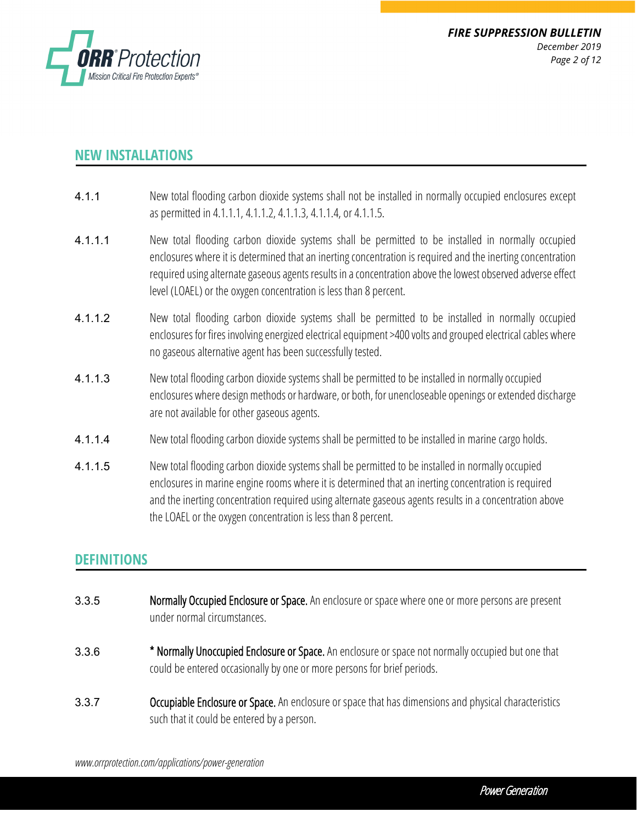

## **NEW INSTALLATIONS**

- 4.1.1 New total flooding carbon dioxide systems shall not be installed in normally occupied enclosures except as permitted in 4.1.1.1, 4.1.1.2, 4.1.1.3, 4.1.1.4, or 4.1.1.5.
- 4.1.1.1 New total flooding carbon dioxide systems shall be permitted to be installed in normally occupied enclosures where it is determined that an inerting concentration is required and the inerting concentration required using alternate gaseous agents results in a concentration above the lowest observed adverse effect level (LOAEL) or the oxygen concentration is less than 8 percent.
- 4.1.1.2 New total flooding carbon dioxide systems shall be permitted to be installed in normally occupied enclosures for fires involving energized electrical equipment >400 volts and grouped electrical cables where no gaseous alternative agent has been successfully tested.
- 4.1.1.3 New total flooding carbon dioxide systems shall be permitted to be installed in normally occupied enclosures where design methods or hardware, or both, for unencloseable openings or extended discharge are not available for other gaseous agents.
- 4.1.1.4 New total flooding carbon dioxide systems shall be permitted to be installed in marine cargo holds.
- 4.1.1.5 New total flooding carbon dioxide systems shall be permitted to be installed in normally occupied enclosures in marine engine rooms where it is determined that an inerting concentration is required and the inerting concentration required using alternate gaseous agents results in a concentration above the LOAEL or the oxygen concentration is less than 8 percent.

### **DEFINITIONS**

- 3.3.5 Normally Occupied Enclosure or Space. An enclosure or space where one or more persons are present under normal circumstances.
- 3.3.6 \* Normally Unoccupied Enclosure or Space. An enclosure or space not normally occupied but one that could be entered occasionally by one or more persons for brief periods.
- **3.3.7** Occupiable Enclosure or Space. An enclosure or space that has dimensions and physical characteristics such that it could be entered by a person.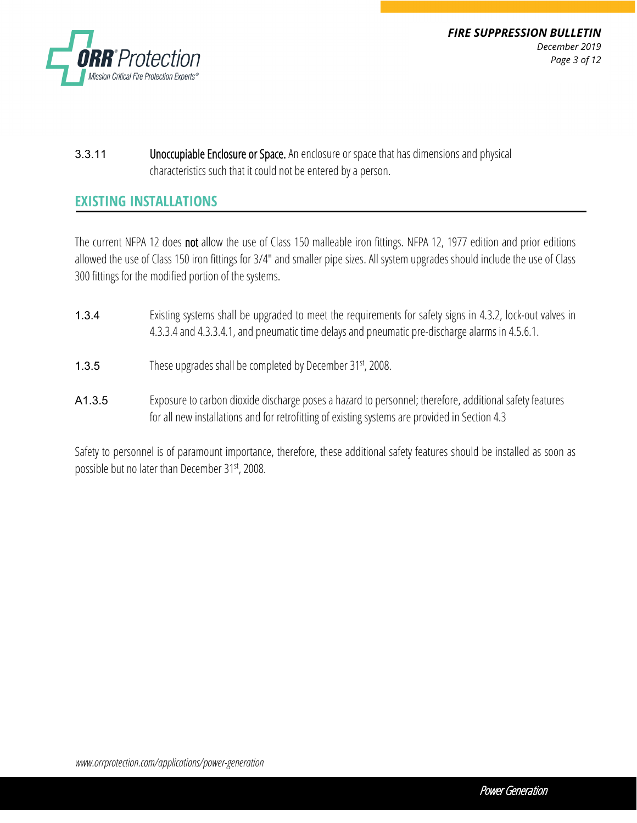

*FIRE SUPPRESSION BULLETIN December 2019 Page 3 of 12*

3.3.11 Unoccupiable Enclosure or Space. An enclosure or space that has dimensions and physical characteristics such that it could not be entered by a person.

#### **EXISTING INSTALLATIONS**

The current NFPA 12 does not allow the use of Class 150 malleable iron fittings. NFPA 12, 1977 edition and prior editions allowed the use of Class 150 iron fittings for 3/4" and smaller pipe sizes. All system upgrades should include the use of Class 300 fittings for the modified portion of the systems.

- 1.3.4 Existing systems shall be upgraded to meet the requirements for safety signs in 4.3.2, lock-out valves in 4.3.3.4 and 4.3.3.4.1, and pneumatic time delays and pneumatic pre-discharge alarms in 4.5.6.1.
- 1.3.5 These upgrades shall be completed by December 31st, 2008.
- A1.3.5 Exposure to carbon dioxide discharge poses a hazard to personnel; therefore, additional safety features for all new installations and for retrofitting of existing systems are provided in Section 4.3

Safety to personnel is of paramount importance, therefore, these additional safety features should be installed as soon as possible but no later than December 31st, 2008.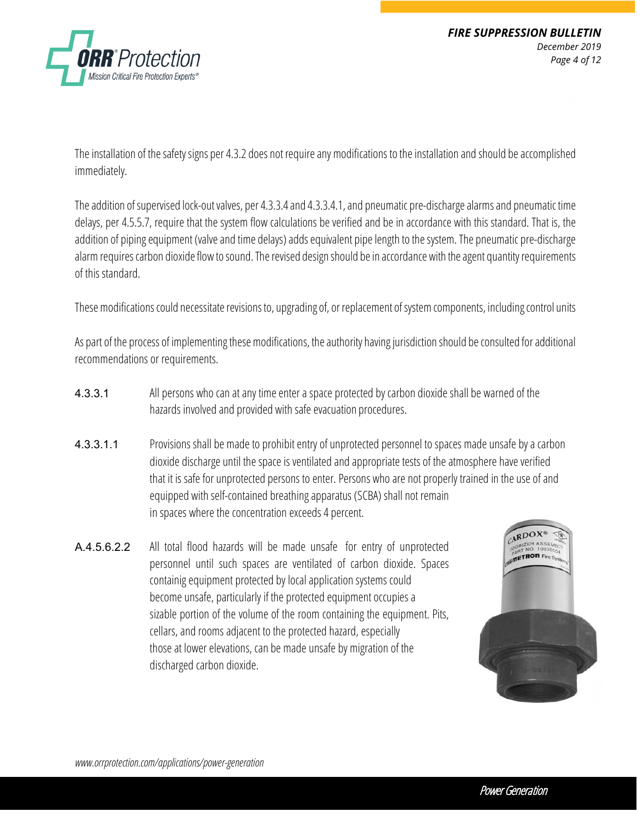

The installation of the safety signs per 4.3.2 does not require any modifications to the installation and should be accomplished immediately.

The addition of supervised lock-out valves, per 4.3.3.4 and 4.3.3.4.1, and pneumatic pre-discharge alarms and pneumatic time delays, per 4.5.5.7, require that the system flow calculations be verified and be in accordance with this standard. That is, the addition of piping equipment (valve and time delays) adds equivalent pipe length to the system. The pneumatic pre-discharge alarm requires carbon dioxide flow to sound. The revised design should be in accordance with the agent quantity requirements of this standard.

These modifications could necessitate revisions to, upgrading of, or replacement of system components, including control units

As part of the process of implementing these modifications, the authority having jurisdiction should be consulted for additional recommendations or requirements.

- 4.3.3.1 All persons who can at any time enter a space protected by carbon dioxide shall be warned of the hazards involved and provided with safe evacuation procedures.
- 4.3.3.1.1 Provisions shall be made to prohibit entry of unprotected personnel to spaces made unsafe by a carbon dioxide discharge until the space is ventilated and appropriate tests of the atmosphere have verified that it is safe for unprotected persons to enter. Persons who are not properly trained in the use of and equipped with self-contained breathing apparatus (SCBA) shall not remain in spaces where the concentration exceeds 4 percent.
- A.4.5.6.2.2 All total flood hazards will be made unsafe for entry of unprotected personnel until such spaces are ventilated of carbon dioxide. Spaces containig equipment protected by local application systems could become unsafe, particularly if the protected equipment occupies a sizable portion of the volume of the room containing the equipment. Pits, cellars, and rooms adjacent to the protected hazard, especially those at lower elevations, can be made unsafe by migration of the discharged carbon dioxide.

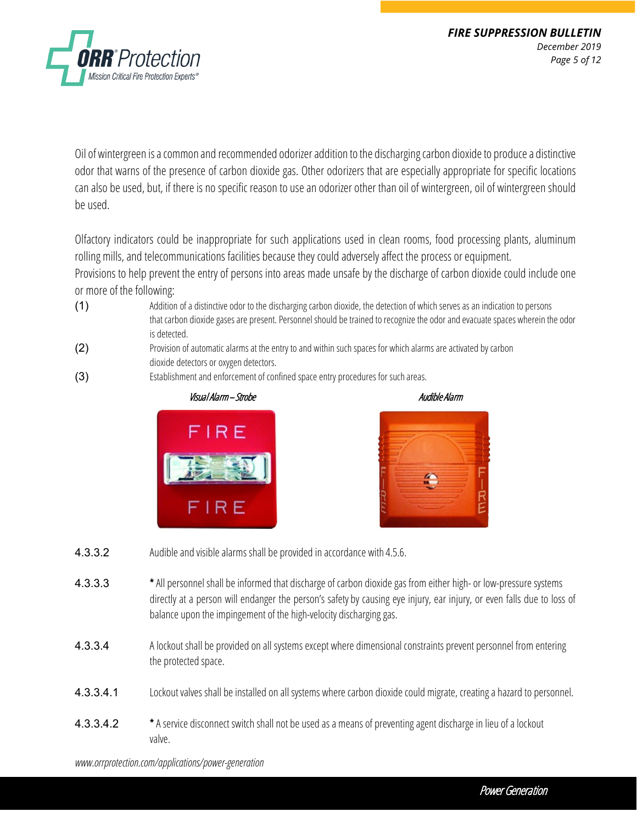

Oil of wintergreen is a common and recommended odorizer addition to the discharging carbon dioxide to produce a distinctive odor that warns of the presence of carbon dioxide gas. Other odorizers that are especially appropriate for specific locations can also be used, but, if there is no specific reason to use an odorizer other than oil of wintergreen, oil of wintergreen should be used.

Olfactory indicators could be inappropriate for such applications used in clean rooms, food processing plants, aluminum rolling mills, and telecommunications facilities because they could adversely affect the process orequipment. Provisions to help prevent the entry of persons into areas made unsafe by the discharge of carbon dioxide could include one or more of the following:

- (1) Addition of a distinctive odor to the discharging carbon dioxide, the detection of which serves as an indication to persons that carbon dioxide gases are present. Personnel should be trained to recognize the odor and evacuate spaces wherein the odor is detected.
- (2) Provision of automatic alarms at the entry to and within such spaces for which alarms are activated by carbon dioxide detectors or oxygen detectors.
- (3) Establishment and enforcement of confined space entry procedures for such areas.







- **4.3.3.2** Audible and visible alarms shall be provided in accordance with 4.5.6.
- 4.3.3.3 \* All personnel shall be informed that discharge of carbon dioxide gas from either high- or low-pressure systems directly at a person will endanger the person's safety by causing eye injury, ear injury, or even falls due to loss of balance upon the impingement of the high-velocity discharging gas.
- 4.3.3.4 A lockout shall be provided on all systems except where dimensional constraints prevent personnel from entering the protected space.
- 4.3.3.4.1 Lockout valves shall be installed on all systems where carbon dioxide could migrate, creating a hazard to personnel.
- 4.3.3.4.2 \* A service disconnect switch shall not be used as a means of preventing agent discharge in lieu of a lockout valve.

*www.orrprotection.com/applications/power-generation*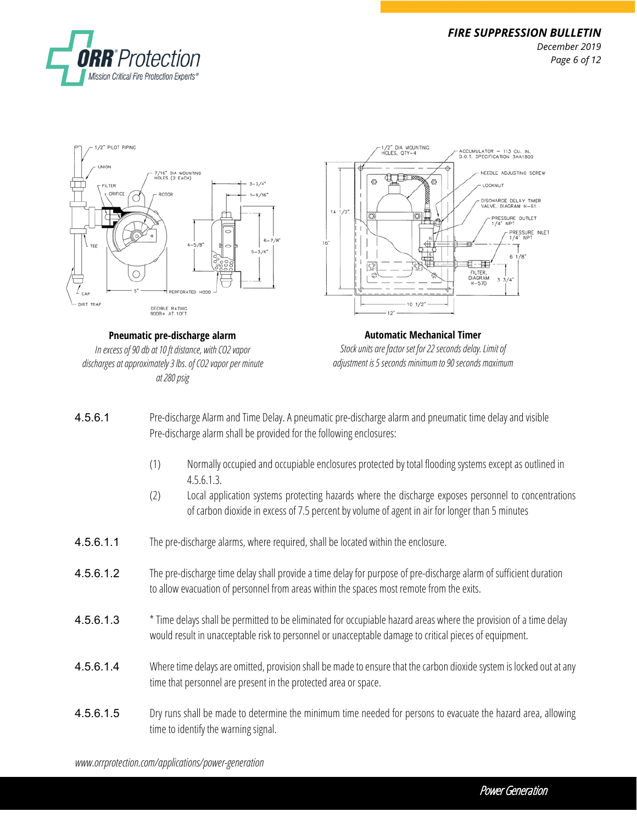



**Pneumatic pre-discharge alarm** *In excess of 90 db at 10 ft distance, with CO2 vapor discharges at approximately 3lbs. of CO2 vapor per minute at 280 psig*



- 4.5.6.1 Pre-discharge Alarm and Time Delay. A pneumatic pre-discharge alarm and pneumatic time delay and visible Pre-discharge alarm shall be provided for the following enclosures:
	- (1) Normally occupied and occupiable enclosures protected by total flooding systems except as outlined in 4.5.6.1.3.
	- (2) Local application systems protecting hazards where the discharge exposes personnel to concentrations of carbon dioxide in excess of 7.5 percent by volume of agent in air for longer than 5 minutes
- 4.5.6.1.1 The pre-discharge alarms, where required, shall be located within the enclosure.
- 4.5.6.1.2 The pre-discharge time delay shall provide a time delay for purpose of pre-discharge alarm of sufficient duration to allow evacuation of personnel from areas within the spaces most remote from the exits.
- 4.5.6.1.3 \* Time delays shall be permitted to be eliminated for occupiable hazard areas where the provision of a time delay would result in unacceptable risk to personnel or unacceptable damage to critical pieces of equipment.
- 4.5.6.1.4 Where time delays are omitted, provision shall be made to ensure that the carbon dioxide system is locked out at any time that personnel are present in the protected area or space.
- 4.5.6.1.5 Dry runs shall be made to determine the minimum time needed for persons to evacuate the hazard area, allowing time to identify the warning signal.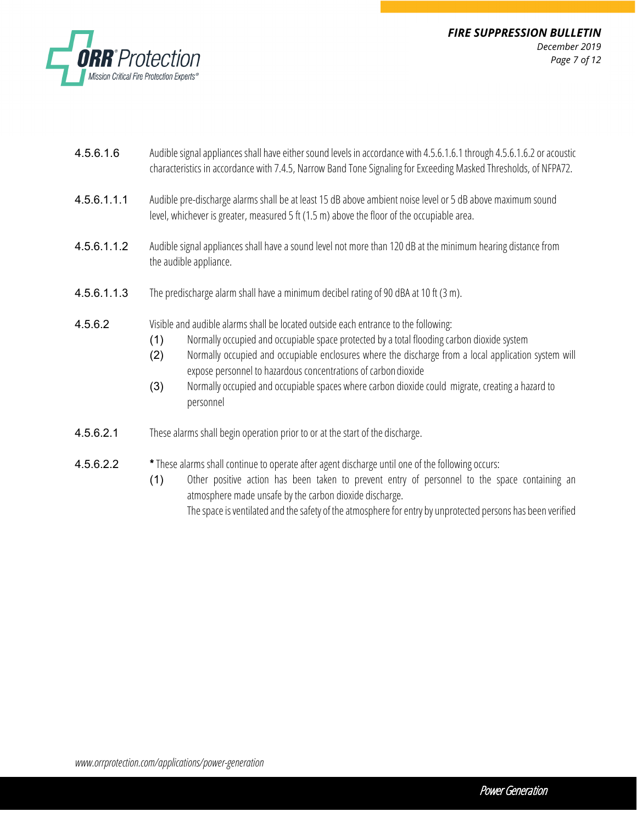

- 4.5.6.1.6 Audible signal appliances shall have either sound levels in accordance with 4.5.6.1.6.1 through 4.5.6.1.6.2 or acoustic characteristics in accordance with 7.4.5, Narrow Band Tone Signaling for Exceeding Masked Thresholds, of NFPA72.
- 4.5.6.1.1.1 Audible pre-discharge alarms shall be at least 15 dB above ambient noiselevel or 5 dB above maximum sound level, whichever is greater, measured 5 ft (1.5 m) above the floor of the occupiable area.
- 4.5.6.1.1.2 Audible signal appliances shall have a sound level not more than 120 dB at the minimum hearing distance from the audible appliance.
- 4.5.6.1.1.3 The predischarge alarm shall have a minimum decibel rating of 90 dBA at 10 ft (3 m).
- **4.5.6.2** Visible and audible alarms shall be located outside each entrance to the following:
	- (1) Normally occupied and occupiable space protected by a total flooding carbon dioxide system
	- (2) Normally occupied and occupiable enclosures where the discharge from a local application system will expose personnel to hazardous concentrations of carbon dioxide
	- (3) Normally occupied and occupiable spaces where carbon dioxide could migrate, creating a hazard to personnel
- **4.5.6.2.1** These alarms shall begin operation prior to or at the start of the discharge.
- 4.5.6.2.2 \* These alarms shall continue to operate after agent discharge until one of the following occurs:
	- (1) Other positive action has been taken to prevent entry of personnel to the space containing an atmosphere made unsafe by the carbon dioxide discharge. The space is ventilated and the safety of the atmosphere for entry by unprotected persons has been verified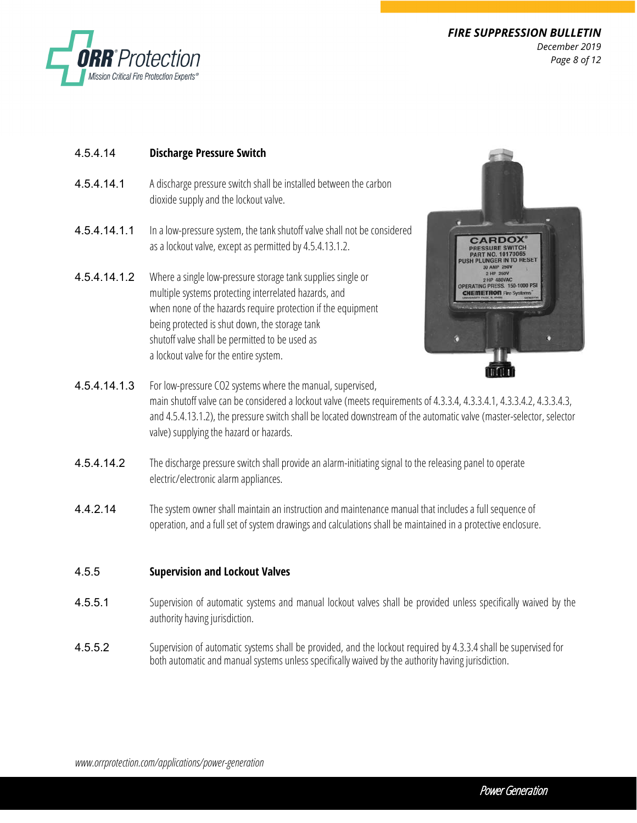

*FIRE SUPPRESSION BULLETIN December 2019 Page 8 of 12*

#### 4.5.4.14 **Discharge Pressure Switch**

- 4.5.4.14.1 A discharge pressure switch shall be installed between the carbon dioxide supply and the lockout valve.
- 4.5.4.14.1.1 In a low-pressure system, the tank shutoff valve shall not be considered as a lockout valve, except as permitted by 4.5.4.13.1.2.
- 4.5.4.14.1.2 Where a single low-pressure storage tank supplies single or multiple systems protecting interrelated hazards, and when none of the hazards require protection if the equipment being protected is shut down, the storage tank shutoff valve shall be permitted to be used as a lockout valve for the entire system.



- 4.5.4.14.1.3 For low-pressure CO2 systems where the manual, supervised, main shutoff valve can be considered a lockout valve (meets requirements of 4.3.3.4, 4.3.3.4.1, 4.3.3.4.2, 4.3.3.4.3, and 4.5.4.13.1.2), the pressure switch shall be located downstream of the automatic valve (master-selector, selector valve) supplying the hazard or hazards.
- 4.5.4.14.2 The discharge pressure switch shall provide an alarm-initiating signal to the releasing panel to operate electric/electronic alarm appliances.
- 4.4.2.14 The system owner shall maintain an instruction and maintenance manual that includes a full sequence of operation, and a full set of system drawings and calculations shall be maintained in a protective enclosure.

#### 4.5.5 **Supervision and Lockout Valves**

- 4.5.5.1 Supervision of automatic systems and manual lockout valves shall be provided unless specifically waived by the authority having jurisdiction.
- 4.5.5.2 Supervision of automatic systems shall be provided, and the lockout required by 4.3.3.4 shall be supervised for both automatic and manual systems unless specifically waived by the authority having jurisdiction.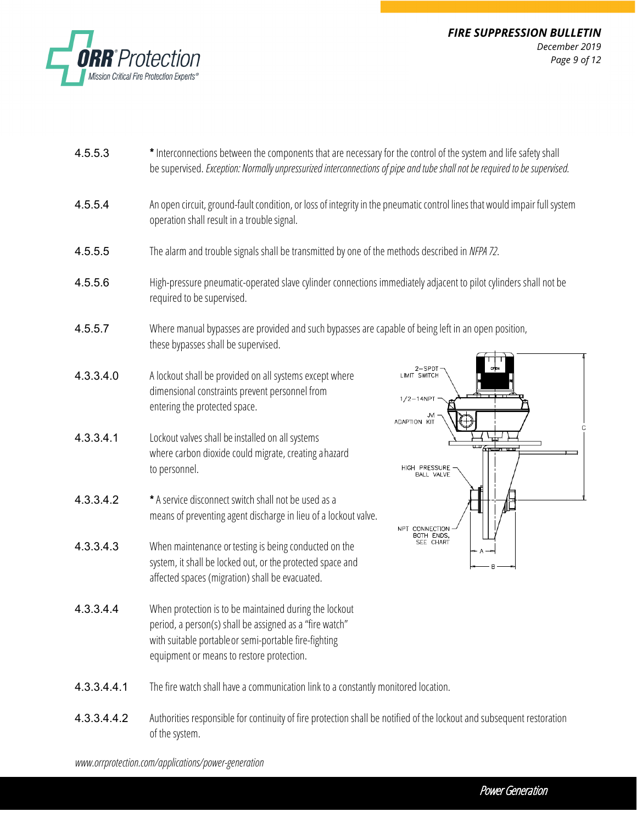

- 4.5.5.3 \* Interconnections between the components that are necessary for the control of the system and life safety shall be supervised. *Exception: Normally unpressurized interconnections of pipe and tube shall not be required to be supervised.*
- 4.5.5.4 An open circuit, ground-fault condition, or loss of integrity in the pneumatic control lines that would impair full system operation shall result in a troublesignal.
- 4.5.5.5 The alarm and trouble signals shall be transmitted by one of the methods described in *NFPA72*.
- 4.5.5.6 High-pressure pneumatic-operated slave cylinder connections immediately adjacent to pilot cylinders shall not be required to be supervised.
- 4.5.5.7 Where manual bypasses are provided and such bypasses are capable of being left in an open position, these bypasses shall be supervised.
- 4.3.3.4.0 A lockout shall be provided on all systems except where dimensional constraints prevent personnel from entering the protected space.
- 4.3.3.4.1 Lockout valves shall be installed on all systems where carbon dioxide could migrate, creating a hazard to personnel.
- 4.3.3.4.2 \* A service disconnect switch shall not be used as a means of preventing agent discharge in lieu of a lockout valve.
- 4.3.3.4.3 When maintenance or testing is being conducted on the system, it shall be locked out, or the protected space and affected spaces (migration) shall be evacuated.
- 4.3.3.4.4 When protection is to be maintained during the lockout period, a person(s) shall be assigned as a "fire watch" with suitable portable or semi-portable fire-fighting equipment or means to restore protection.



- **4.3.3.4.4.1** The fire watch shall have a communication link to a constantly monitored location.
- 4.3.3.4.4.2 Authorities responsible for continuity of fire protection shall be notified of the lockout and subsequent restoration of the system.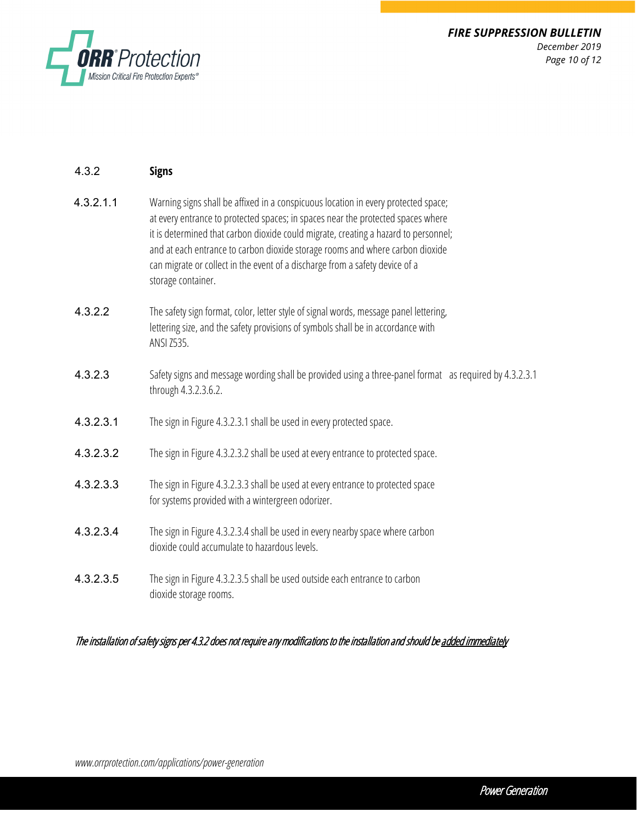

| 4.3.2     | <b>Signs</b>                                                                                                                                                                                                                                                                                                                                                                                                                                         |
|-----------|------------------------------------------------------------------------------------------------------------------------------------------------------------------------------------------------------------------------------------------------------------------------------------------------------------------------------------------------------------------------------------------------------------------------------------------------------|
| 4.3.2.1.1 | Warning signs shall be affixed in a conspicuous location in every protected space;<br>at every entrance to protected spaces; in spaces near the protected spaces where<br>it is determined that carbon dioxide could migrate, creating a hazard to personnel;<br>and at each entrance to carbon dioxide storage rooms and where carbon dioxide<br>can migrate or collect in the event of a discharge from a safety device of a<br>storage container. |
| 4.3.2.2   | The safety sign format, color, letter style of signal words, message panel lettering,<br>lettering size, and the safety provisions of symbols shall be in accordance with<br>ANSI Z535.                                                                                                                                                                                                                                                              |
| 4.3.2.3   | Safety signs and message wording shall be provided using a three-panel format as required by 4.3.2.3.1<br>through 4.3.2.3.6.2.                                                                                                                                                                                                                                                                                                                       |
| 4.3.2.3.1 | The sign in Figure 4.3.2.3.1 shall be used in every protected space.                                                                                                                                                                                                                                                                                                                                                                                 |
| 4.3.2.3.2 | The sign in Figure 4.3.2.3.2 shall be used at every entrance to protected space.                                                                                                                                                                                                                                                                                                                                                                     |
| 4.3.2.3.3 | The sign in Figure 4.3.2.3.3 shall be used at every entrance to protected space<br>for systems provided with a wintergreen odorizer.                                                                                                                                                                                                                                                                                                                 |
| 4.3.2.3.4 | The sign in Figure 4.3.2.3.4 shall be used in every nearby space where carbon<br>dioxide could accumulate to hazardous levels.                                                                                                                                                                                                                                                                                                                       |
| 4.3.2.3.5 | The sign in Figure 4.3.2.3.5 shall be used outside each entrance to carbon<br>dioxide storage rooms.                                                                                                                                                                                                                                                                                                                                                 |

The installation of safety signs per 4.3.2 does not require any modifications to the installation and should be added immediately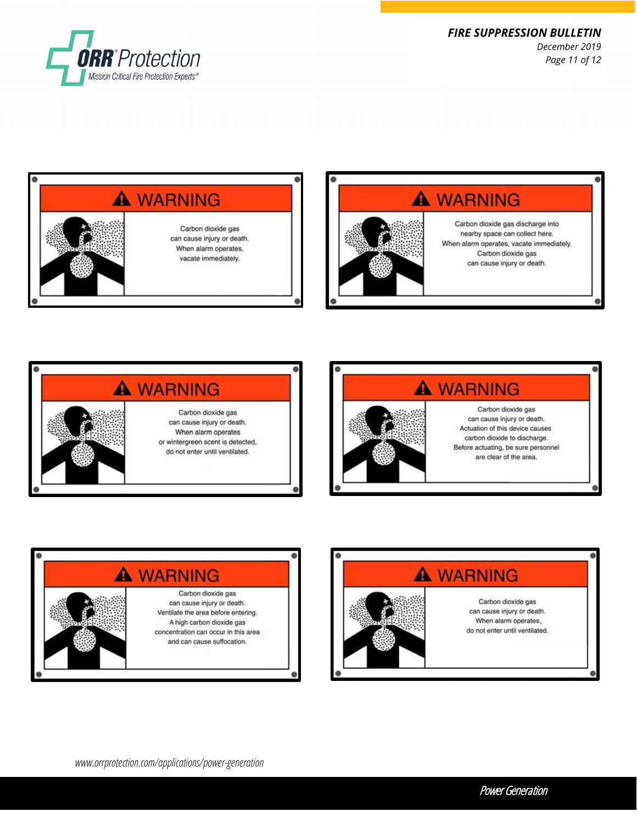

*FIRE SUPPRESSION BULLETIN December 2019 Page 11 of 12*











*www.orrprotection.com/applications/power-generation*